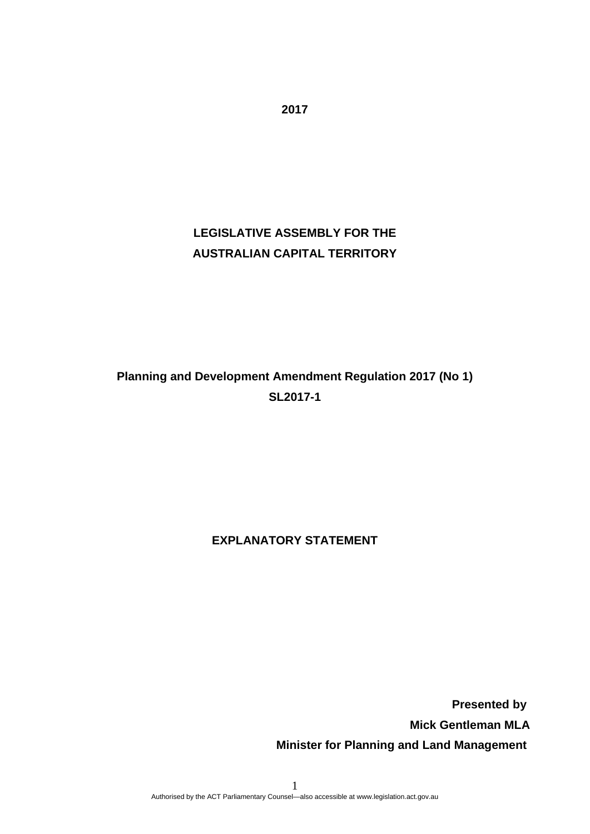## **LEGISLATIVE ASSEMBLY FOR THE AUSTRALIAN CAPITAL TERRITORY**

# **Planning and Development Amendment Regulation 2017 (No 1) SL2017-1**

## **EXPLANATORY STATEMENT**

 **Presented by Mick Gentleman MLA Minister for Planning and Land Management**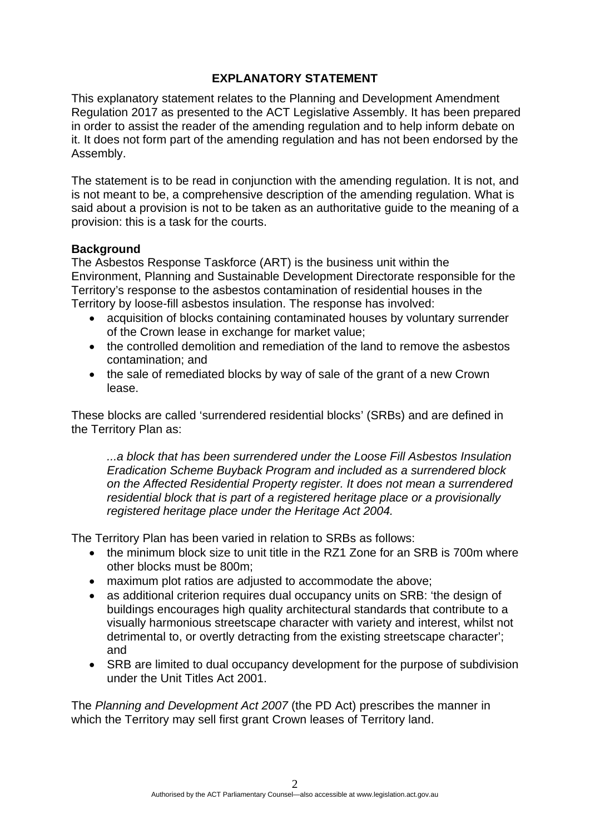## **EXPLANATORY STATEMENT**

This explanatory statement relates to the Planning and Development Amendment Regulation 2017 as presented to the ACT Legislative Assembly. It has been prepared in order to assist the reader of the amending regulation and to help inform debate on it. It does not form part of the amending regulation and has not been endorsed by the Assembly.

The statement is to be read in conjunction with the amending regulation. It is not, and is not meant to be, a comprehensive description of the amending regulation. What is said about a provision is not to be taken as an authoritative guide to the meaning of a provision: this is a task for the courts.

## **Background**

The Asbestos Response Taskforce (ART) is the business unit within the Environment, Planning and Sustainable Development Directorate responsible for the Territory's response to the asbestos contamination of residential houses in the Territory by loose-fill asbestos insulation. The response has involved:

- acquisition of blocks containing contaminated houses by voluntary surrender of the Crown lease in exchange for market value;
- the controlled demolition and remediation of the land to remove the asbestos contamination; and
- the sale of remediated blocks by way of sale of the grant of a new Crown lease.

These blocks are called 'surrendered residential blocks' (SRBs) and are defined in the Territory Plan as:

*...a block that has been surrendered under the Loose Fill Asbestos Insulation Eradication Scheme Buyback Program and included as a surrendered block on the Affected Residential Property register. It does not mean a surrendered residential block that is part of a registered heritage place or a provisionally registered heritage place under the Heritage Act 2004.* 

The Territory Plan has been varied in relation to SRBs as follows:

- the minimum block size to unit title in the RZ1 Zone for an SRB is 700m where other blocks must be 800m;
- maximum plot ratios are adjusted to accommodate the above;
- as additional criterion requires dual occupancy units on SRB: 'the design of buildings encourages high quality architectural standards that contribute to a visually harmonious streetscape character with variety and interest, whilst not detrimental to, or overtly detracting from the existing streetscape character'; and
- SRB are limited to dual occupancy development for the purpose of subdivision under the Unit Titles Act 2001.

The *Planning and Development Act 2007* (the PD Act) prescribes the manner in which the Territory may sell first grant Crown leases of Territory land.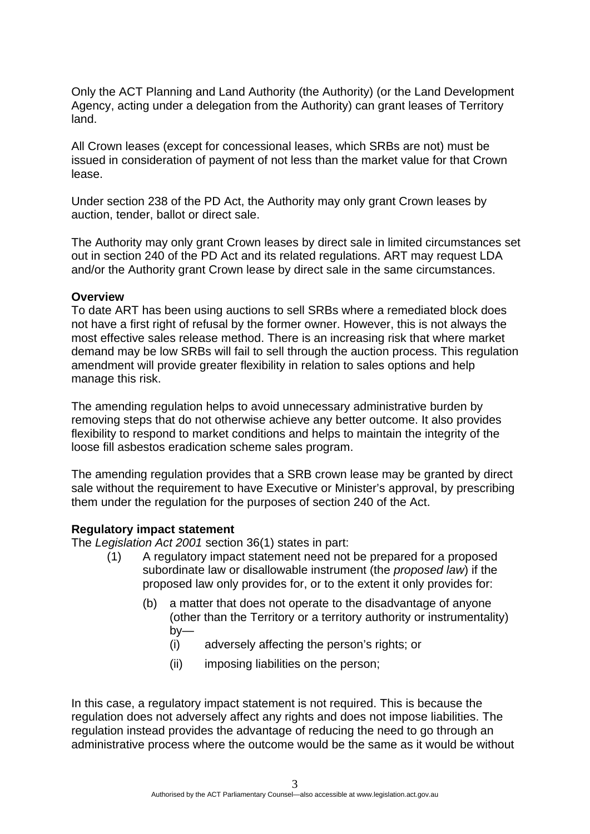Only the ACT Planning and Land Authority (the Authority) (or the Land Development Agency, acting under a delegation from the Authority) can grant leases of Territory land.

All Crown leases (except for concessional leases, which SRBs are not) must be issued in consideration of payment of not less than the market value for that Crown lease.

Under section 238 of the PD Act, the Authority may only grant Crown leases by auction, tender, ballot or direct sale.

The Authority may only grant Crown leases by direct sale in limited circumstances set out in section 240 of the PD Act and its related regulations. ART may request LDA and/or the Authority grant Crown lease by direct sale in the same circumstances.

#### **Overview**

To date ART has been using auctions to sell SRBs where a remediated block does not have a first right of refusal by the former owner. However, this is not always the most effective sales release method. There is an increasing risk that where market demand may be low SRBs will fail to sell through the auction process. This regulation amendment will provide greater flexibility in relation to sales options and help manage this risk.

The amending regulation helps to avoid unnecessary administrative burden by removing steps that do not otherwise achieve any better outcome. It also provides flexibility to respond to market conditions and helps to maintain the integrity of the loose fill asbestos eradication scheme sales program.

The amending regulation provides that a SRB crown lease may be granted by direct sale without the requirement to have Executive or Minister's approval, by prescribing them under the regulation for the purposes of section 240 of the Act.

#### **Regulatory impact statement**

The *Legislation Act 2001* section 36(1) states in part:

- (1) A regulatory impact statement need not be prepared for a proposed subordinate law or disallowable instrument (the *proposed law*) if the proposed law only provides for, or to the extent it only provides for:
	- (b) a matter that does not operate to the disadvantage of anyone (other than the Territory or a territory authority or instrumentality) by—
		- (i) adversely affecting the person's rights; or
		- (ii) imposing liabilities on the person;

In this case, a regulatory impact statement is not required. This is because the regulation does not adversely affect any rights and does not impose liabilities. The regulation instead provides the advantage of reducing the need to go through an administrative process where the outcome would be the same as it would be without